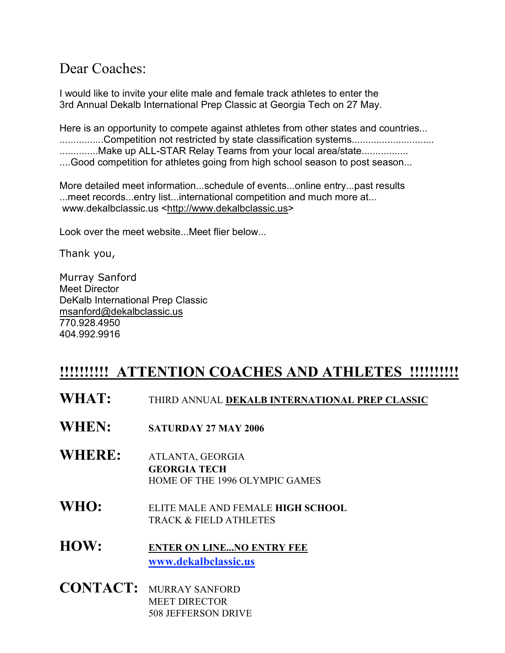## Dear Coaches:

I would like to invite your elite male and female track athletes to enter the 3rd Annual Dekalb International Prep Classic at Georgia Tech on 27 May.

Here is an opportunity to compete against athletes from other states and countries... .................Competition not restricted by state classification systems.................................. ...............Make up ALL-STAR Relay Teams from your local area/state................. ....Good competition for athletes going from high school season to post season...

More detailed meet information...schedule of events...online entry...past results ...meet records...entry list...international competition and much more at... www.dekalbclassic.us <http://www.dekalbclassic.us>

Look over the meet website...Meet flier below...

Thank you,

Murray Sanford Meet Director DeKalb International Prep Classic msanford@dekalbclassic.us 770.928.4950 404.992.9916

## **!!!!!!!!!! ATTENTION COACHES AND ATHLETES !!!!!!!!!!**

- **WHAT:** THIRD ANNUAL **DEKALB INTERNATIONAL PREP CLASSIC**
- **WHEN: SATURDAY 27 MAY <sup>2006</sup>**
- **WHERE:** ATLANTA, GEORGIA **GEORGIA TECH** HOME OF THE 1996 OLYMPIC GAMES
- **WHO:** ELITE MALE AND FEMALE **HIGH SCHOOL** TRACK & FIELD ATHLETES

**HOW: ENTER ON LINE...NO ENTRY FEE www.dekalbclassic.us**

**CONTACT:** MURRAY SANFORD MEET DIRECTOR 508 JEFFERSON DRIVE